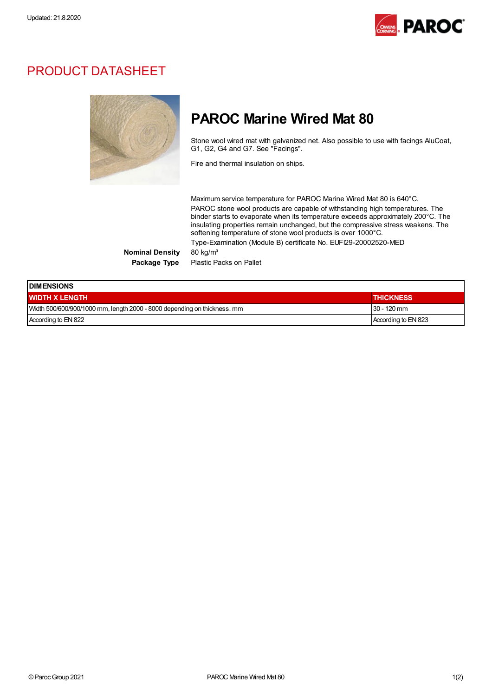

### PRODUCT DATASHEET



## PAROC Marine Wired Mat 80

Stone wool wired mat with galvanized net. Also possible to use with facings AluCoat, G1, G2, G4 and G7. See "Facings".

Fire and thermal insulation on ships.

Maximum service temperature for PAROC Marine Wired Mat 80 is 640°C. PAROC stone wool products are capable of withstanding high temperatures. The binder starts to evaporate when its temperature exceeds approximately 200°C. The insulating properties remain unchanged, but the compressive stress weakens. The softening temperature of stone wool products is over 1000°C. Type-Examination (Module B) certificate No. EUFI29-20002520-MED

Nominal Density 80 kg/m<sup>3</sup> Package Type Plastic Packs on Pallet

| <b>IDIMENSIONS</b>                                                       |                     |  |
|--------------------------------------------------------------------------|---------------------|--|
| <b>WIDTH X LENGTH</b>                                                    | <b>THICKNESS</b>    |  |
| Width 500/600/900/1000 mm, length 2000 - 8000 depending on thickness. mm | $30 - 120$ mm       |  |
| According to EN 822                                                      | According to EN 823 |  |